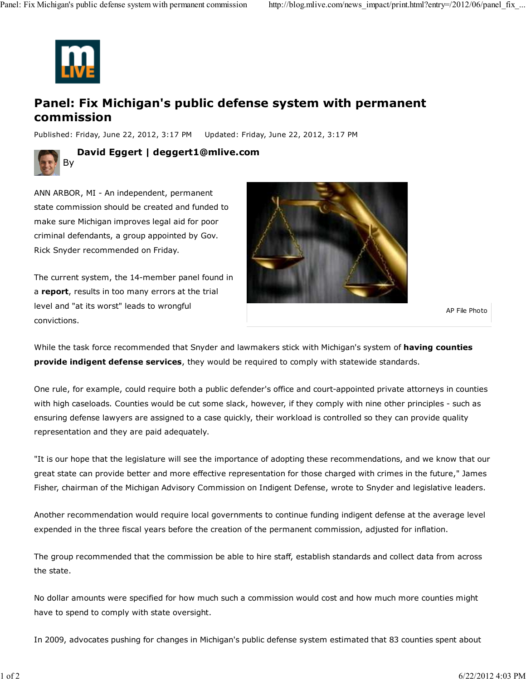

## **Panel: Fix Michigan's public defense system with permanent commission**

Published: Friday, June 22, 2012, 3:17 PM Updated: Friday, June 22, 2012, 3:17 PM



**David Eggert | deggert1@mlive.com**

ANN ARBOR, MI - An independent, permanent state commission should be created and funded to make sure Michigan improves legal aid for poor criminal defendants, a group appointed by Gov. Rick Snyder recommended on Friday.

The current system, the 14-member panel found in a **report**, results in too many errors at the trial level and "at its worst" leads to wrongful convictions.



AP File Photo

While the task force recommended that Snyder and lawmakers stick with Michigan's system of **having counties provide indigent defense services**, they would be required to comply with statewide standards.

One rule, for example, could require both a public defender's office and court-appointed private attorneys in counties with high caseloads. Counties would be cut some slack, however, if they comply with nine other principles - such as ensuring defense lawyers are assigned to a case quickly, their workload is controlled so they can provide quality representation and they are paid adequately.

"It is our hope that the legislature will see the importance of adopting these recommendations, and we know that our great state can provide better and more effective representation for those charged with crimes in the future," James Fisher, chairman of the Michigan Advisory Commission on Indigent Defense, wrote to Snyder and legislative leaders.

Another recommendation would require local governments to continue funding indigent defense at the average level expended in the three fiscal years before the creation of the permanent commission, adjusted for inflation.

The group recommended that the commission be able to hire staff, establish standards and collect data from across the state.

No dollar amounts were specified for how much such a commission would cost and how much more counties might have to spend to comply with state oversight.

In 2009, advocates pushing for changes in Michigan's public defense system estimated that 83 counties spent about